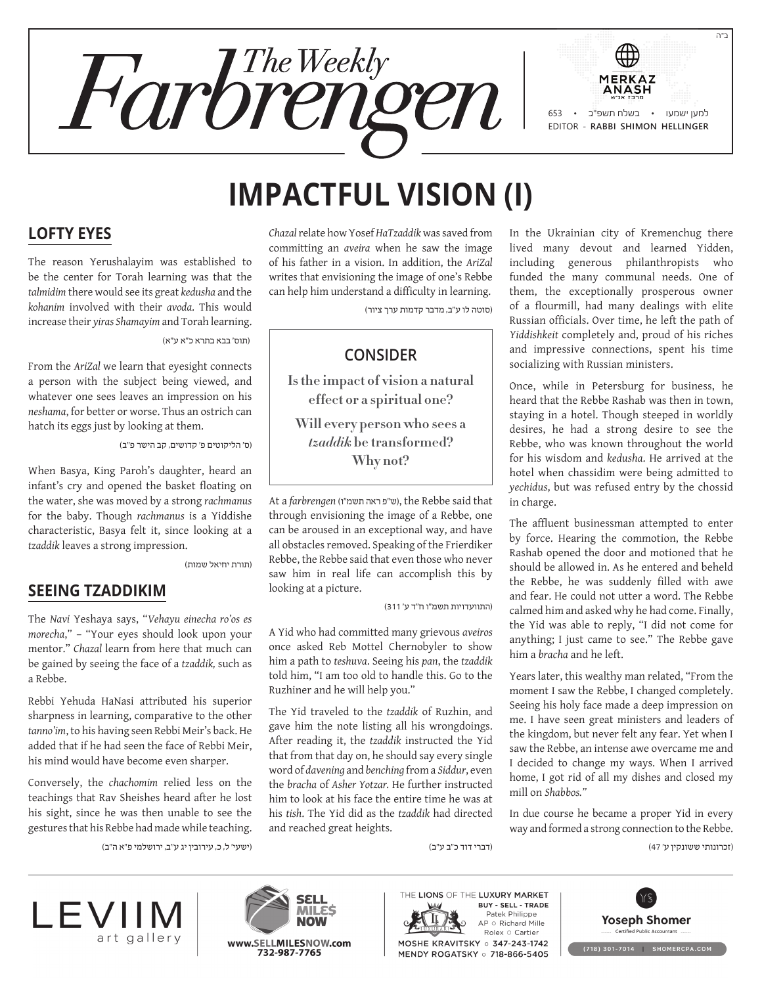

# **Impactful Vision (I)**

### **Lofty Eyes**

The reason Yerushalayim was established to be the center for Torah learning was that the *talmidim* there would see its great *kedusha* and the *kohanim* involved with their *avoda*. This would increase their *yiras Shamayim* and Torah learning.

)תוס' בבא בתרא כ"א ע"א(

From the *AriZal* we learn that eyesight connects a person with the subject being viewed, and whatever one sees leaves an impression on his *neshama*, for better or worse. Thus an ostrich can hatch its eggs just by looking at them.

)ס' הליקוטים פ' קדושים, קב הישר פ"ב(

When Basya, King Paroh's daughter, heard an infant's cry and opened the basket floating on the water, she was moved by a strong *rachmanus* for the baby. Though *rachmanus* is a Yiddishe characteristic, Basya felt it, since looking at a *tzaddik* leaves a strong impression.

)תורת יחיאל שמות(

#### **Seeing Tzaddikim**

The *Navi* Yeshaya says, "*Vehayu einecha ro'os es morecha*," – "Your eyes should look upon your mentor." *Chazal* learn from here that much can be gained by seeing the face of a *tzaddik,* such as a Rebbe.

Rebbi Yehuda HaNasi attributed his superior sharpness in learning, comparative to the other *tanno'im*, to his having seen Rebbi Meir's back. He added that if he had seen the face of Rebbi Meir, his mind would have become even sharper.

Conversely, the *chachomim* relied less on the teachings that Rav Sheishes heard after he lost his sight, since he was then unable to see the gestures that his Rebbe had made while teaching.

)ישעי' ל, כ, עירובין יג ע"ב, ירושלמי פ"א ה"ב(

*Chazal* relate how Yosef *HaTzaddik* was saved from committing an *aveira* when he saw the image of his father in a vision. In addition, the *AriZal* writes that envisioning the image of one's Rebbe can help him understand a difficulty in learning.

)סוטה לו ע"ב, מדבר קדמות ערך ציור(

## **Consider**

**Is the impact of vision a natural effect or a spiritual one?**

**Will every person who sees a**  *tzaddik* **be transformed? Why not?**

At a *farbrengen* (ו"תשמ ראה פ"ש(, the Rebbe said that through envisioning the image of a Rebbe, one can be aroused in an exceptional way, and have all obstacles removed. Speaking of the Frierdiker Rebbe, the Rebbe said that even those who never saw him in real life can accomplish this by looking at a picture.

)התוועדויות תשמ"ו ח"ד ע' 311(

A Yid who had committed many grievous *aveiros* once asked Reb Mottel Chernobyler to show him a path to *teshuva*. Seeing his *pan*, the *tzaddik* told him, "I am too old to handle this. Go to the Ruzhiner and he will help you."

The Yid traveled to the *tzaddik* of Ruzhin, and gave him the note listing all his wrongdoings. After reading it, the *tzaddik* instructed the Yid that from that day on, he should say every single word of *davening* and *benching* from a *Siddur*, even the *bracha* of *Asher Yotzar.* He further instructed him to look at his face the entire time he was at his *tish*. The Yid did as the *tzaddik* had directed and reached great heights.

In the Ukrainian city of Kremenchug there lived many devout and learned Yidden, including generous philanthropists who funded the many communal needs. One of them, the exceptionally prosperous owner of a flourmill, had many dealings with elite Russian officials. Over time, he left the path of *Yiddishkeit* completely and, proud of his riches and impressive connections, spent his time socializing with Russian ministers.

Once, while in Petersburg for business, he heard that the Rebbe Rashab was then in town, staying in a hotel. Though steeped in worldly desires, he had a strong desire to see the Rebbe, who was known throughout the world for his wisdom and *kedusha*. He arrived at the hotel when chassidim were being admitted to *yechidus*, but was refused entry by the chossid in charge.

The affluent businessman attempted to enter by force. Hearing the commotion, the Rebbe Rashab opened the door and motioned that he should be allowed in. As he entered and beheld the Rebbe, he was suddenly filled with awe and fear. He could not utter a word. The Rebbe calmed him and asked why he had come. Finally, the Yid was able to reply, "I did not come for anything; I just came to see." The Rebbe gave him a *bracha* and he left.

Years later, this wealthy man related, "From the moment I saw the Rebbe, I changed completely. Seeing his holy face made a deep impression on me. I have seen great ministers and leaders of the kingdom, but never felt any fear. Yet when I saw the Rebbe, an intense awe overcame me and I decided to change my ways. When I arrived home, I got rid of all my dishes and closed my mill on *Shabbos."*

In due course he became a proper Yid in every way and formed a strong connection to the Rebbe.

)זכרונותי ששונקין ע' 47(

)דברי דוד כ"ב ע"ב(